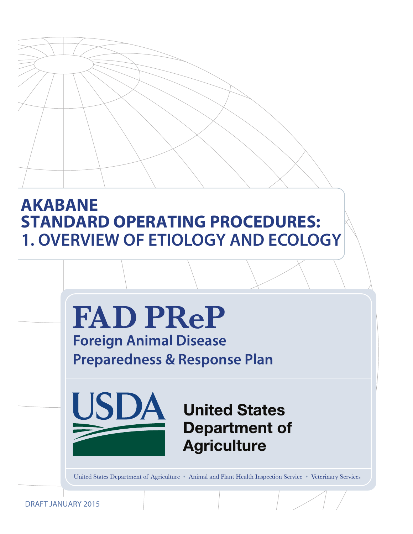# **AKABANE STANDARD OPERATING PROCEDURES: 1. OVERVIEW OF ETIOLOGY AND ECOLOGY**



DRAFT JANUARY 2015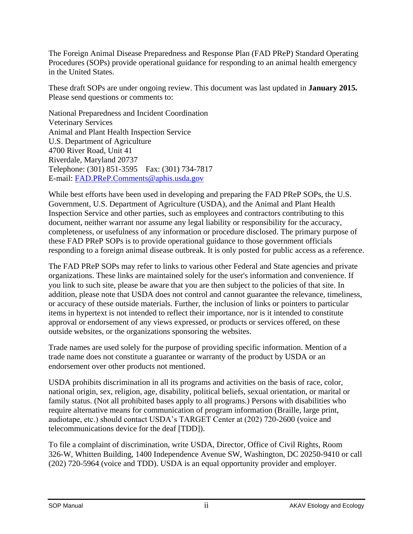The Foreign Animal Disease Preparedness and Response Plan (FAD PReP) Standard Operating Procedures (SOPs) provide operational guidance for responding to an animal health emergency in the United States.

These draft SOPs are under ongoing review. This document was last updated in **January 2015.**  Please send questions or comments to:

National Preparedness and Incident Coordination Veterinary Services Animal and Plant Health Inspection Service U.S. Department of Agriculture 4700 River Road, Unit 41 Riverdale, Maryland 20737 Telephone: (301) 851-3595 Fax: (301) 734-7817 E-mail: [FAD.PReP.Comments@aphis.usda.gov](mailto:FAD.PReP.Comments@aphis.usda.gov)

While best efforts have been used in developing and preparing the FAD PReP SOPs, the U.S. Government, U.S. Department of Agriculture (USDA), and the Animal and Plant Health Inspection Service and other parties, such as employees and contractors contributing to this document, neither warrant nor assume any legal liability or responsibility for the accuracy, completeness, or usefulness of any information or procedure disclosed. The primary purpose of these FAD PReP SOPs is to provide operational guidance to those government officials responding to a foreign animal disease outbreak. It is only posted for public access as a reference.

The FAD PReP SOPs may refer to links to various other Federal and State agencies and private organizations. These links are maintained solely for the user's information and convenience. If you link to such site, please be aware that you are then subject to the policies of that site. In addition, please note that USDA does not control and cannot guarantee the relevance, timeliness, or accuracy of these outside materials. Further, the inclusion of links or pointers to particular items in hypertext is not intended to reflect their importance, nor is it intended to constitute approval or endorsement of any views expressed, or products or services offered, on these outside websites, or the organizations sponsoring the websites.

Trade names are used solely for the purpose of providing specific information. Mention of a trade name does not constitute a guarantee or warranty of the product by USDA or an endorsement over other products not mentioned.

USDA prohibits discrimination in all its programs and activities on the basis of race, color, national origin, sex, religion, age, disability, political beliefs, sexual orientation, or marital or family status. (Not all prohibited bases apply to all programs.) Persons with disabilities who require alternative means for communication of program information (Braille, large print, audiotape, etc.) should contact USDA's TARGET Center at (202) 720-2600 (voice and telecommunications device for the deaf [TDD]).

To file a complaint of discrimination, write USDA, Director, Office of Civil Rights, Room 326-W, Whitten Building, 1400 Independence Avenue SW, Washington, DC 20250-9410 or call (202) 720-5964 (voice and TDD). USDA is an equal opportunity provider and employer.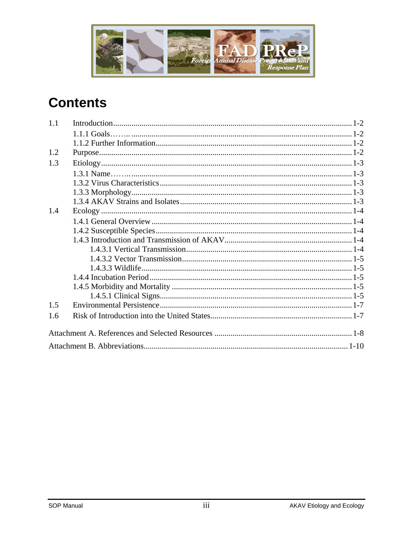

# **Contents**

| 1.1 |  |
|-----|--|
|     |  |
|     |  |
| 1.2 |  |
| 1.3 |  |
|     |  |
|     |  |
|     |  |
|     |  |
| 1.4 |  |
|     |  |
|     |  |
|     |  |
|     |  |
|     |  |
|     |  |
|     |  |
|     |  |
|     |  |
| 1.5 |  |
| 1.6 |  |
|     |  |
|     |  |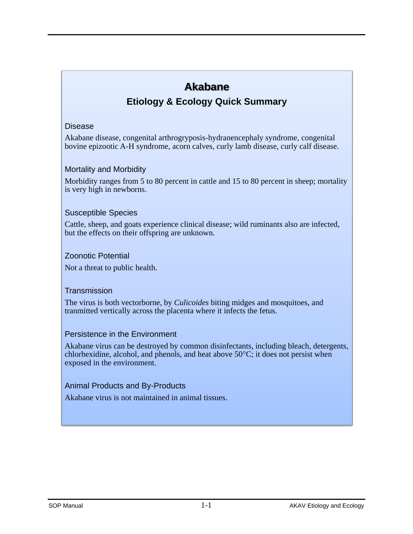# **Akabane**

# **Etiology & Ecology Quick Summary**

#### Disease

Akabane disease, congenital arthrogryposis-hydranencephaly syndrome, congenital bovine epizootic A-H syndrome, acorn calves, curly lamb disease, curly calf disease.

#### Mortality and Morbidity

Morbidity ranges from 5 to 80 percent in cattle and 15 to 80 percent in sheep; mortality is very high in newborns.

#### Susceptible Species

Cattle, sheep, and goats experience clinical disease; wild ruminants also are infected, but the effects on their offspring are unknown*.* 

#### Zoonotic Potential

Not a threat to public health.

#### **Transmission**

The virus is both vectorborne, by *Culicoides* biting midges and mosquitoes, and tranmitted vertically across the placenta where it infects the fetus.

#### Persistence in the Environment

Akabane virus can be destroyed by common disinfectants, including bleach, detergents, chlorhexidine, alcohol, and phenols, and heat above  $50^{\circ}$ C; it does not persist when exposed in the environment.

#### Animal Products and By-Products

Akabane virus is not maintained in animal tissues.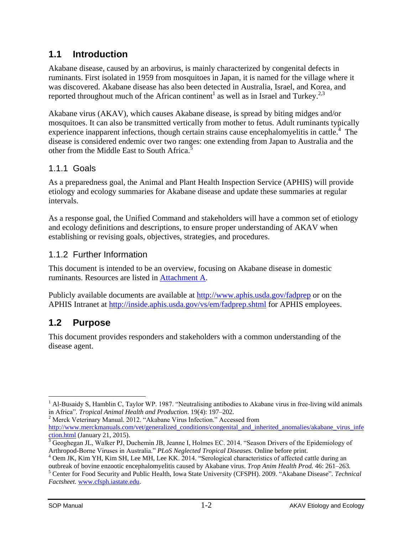## <span id="page-4-0"></span>**1.1 Introduction**

Akabane disease, caused by an arbovirus, is mainly characterized by congenital defects in ruminants. First isolated in 1959 from mosquitoes in Japan, it is named for the village where it was discovered. Akabane disease has also been detected in Australia, Israel, and Korea, and reported throughout much of the African continent<sup>1</sup> as well as in Israel and Turkey.<sup>2,3</sup>

Akabane virus (AKAV), which causes Akabane disease, is spread by biting midges and/or mosquitoes. It can also be transmitted vertically from mother to fetus. Adult ruminants typically experience inapparent infections, though certain strains cause encephalomyelitis in cattle.<sup>4</sup> The disease is considered endemic over two ranges: one extending from Japan to Australia and the other from the Middle East to South Africa.<sup>5</sup>

#### <span id="page-4-1"></span>1.1.1 Goals

As a preparedness goal, the Animal and Plant Health Inspection Service (APHIS) will provide etiology and ecology summaries for Akabane disease and update these summaries at regular intervals.

As a response goal, the Unified Command and stakeholders will have a common set of etiology and ecology definitions and descriptions, to ensure proper understanding of AKAV when establishing or revising goals, objectives, strategies, and procedures.

## <span id="page-4-2"></span>1.1.2 Further Information

This document is intended to be an overview, focusing on Akabane disease in domestic ruminants. Resources are listed in [Attachment A.](#page-10-0)

Publicly available documents are available at<http://www.aphis.usda.gov/fadprep> or on the APHIS Intranet at<http://inside.aphis.usda.gov/vs/em/fadprep.shtml> for APHIS employees.

# <span id="page-4-3"></span>**1.2 Purpose**

This document provides responders and stakeholders with a common understanding of the disease agent.

<sup>2</sup> Merck Veterinary Manual. 2012. "Akabane Virus Infection." Accessed from [http://www.merckmanuals.com/vet/generalized\\_conditions/congenital\\_and\\_inherited\\_anomalies/akabane\\_virus\\_infe](http://www.merckmanuals.com/vet/generalized_conditions/congenital_and_inherited_anomalies/akabane_virus_infection.html) [ction.html](http://www.merckmanuals.com/vet/generalized_conditions/congenital_and_inherited_anomalies/akabane_virus_infection.html) (January 21, 2015).

 $\overline{a}$ 

<sup>&</sup>lt;sup>1</sup> Al-Busaidy S, Hamblin C, Taylor WP. 1987. "Neutralising antibodies to Akabane virus in free-living wild animals in Africa". *Tropical Animal Health and Production*. 19(4): 197–202.

 $3$  Geoghegan JL, Walker PJ, Duchemin JB, Jeanne I, Holmes EC. 2014. "Season Drivers of the Epidemiology of Arthropod-Borne Viruses in Australia." *PLoS Neglected Tropical Diseases.* Online before print.

<sup>&</sup>lt;sup>4</sup> Oem JK, Kim YH, Kim SH, Lee MH, Lee KK. 2014. "Serological characteristics of affected cattle during an outbreak of bovine enzootic encephalomyelitis caused by Akabane virus. *Trop Anim Health Prod.* 46: 261–263.

<sup>5</sup> Center for Food Security and Public Health, Iowa State University (CFSPH). 2009. "Akabane Disease". *Technical Factsheet.* [www.cfsph.iastate.edu.](http://www.cfsph.iastate.edu/)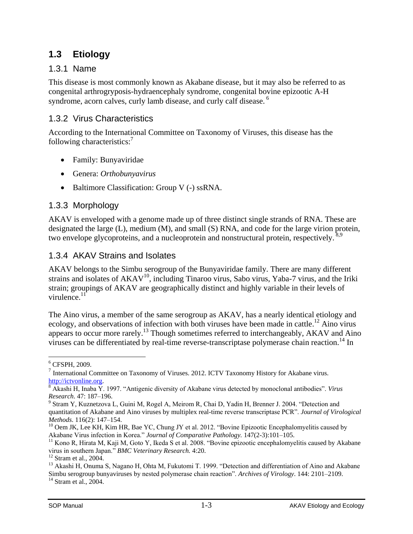# <span id="page-5-0"></span>**1.3 Etiology**

#### <span id="page-5-1"></span>1.3.1 Name

This disease is most commonly known as Akabane disease, but it may also be referred to as congenital arthrogryposis-hydraencephaly syndrome, congenital bovine epizootic A-H syndrome, acorn calves, curly lamb disease, and curly calf disease.<sup>6</sup>

#### <span id="page-5-2"></span>1.3.2 Virus Characteristics

According to the International Committee on Taxonomy of Viruses, this disease has the following characteristics:<sup>7</sup>

- Family: Bunyaviridae
- Genera: *Orthobunyavirus*
- Baltimore Classification: Group V (-) ssRNA.

## <span id="page-5-3"></span>1.3.3 Morphology

AKAV is enveloped with a genome made up of three distinct single strands of RNA. These are designated the large (L), medium (M), and small (S) RNA, and code for the large virion protein, two envelope glycoproteins, and a nucleoprotein and nonstructural protein, respectively.<sup>8,9</sup>

#### <span id="page-5-4"></span>1.3.4 AKAV Strains and Isolates

AKAV belongs to the Simbu serogroup of the Bunyaviridae family. There are many different strains and isolates of AKAV<sup>10</sup>, including Tinaroo virus, Sabo virus, Yaba-7 virus, and the Iriki strain; groupings of AKAV are geographically distinct and highly variable in their levels of virulence. $11$ 

The Aino virus, a member of the same serogroup as AKAV, has a nearly identical etiology and ecology, and observations of infection with both viruses have been made in cattle.<sup>12</sup> Aino virus appears to occur more rarely.<sup>13</sup> Though sometimes referred to interchangeably, AKAV and Aino viruses can be differentiated by real-time reverse-transcriptase polymerase chain reaction.<sup>14</sup> In

 $\overline{a}$  $6$  CFSPH, 2009.

<sup>&</sup>lt;sup>7</sup> International Committee on Taxonomy of Viruses. 2012. ICTV Taxonomy History for Akabane virus. [http://ictvonline.org.](http://ictvonline.org/)

<sup>8</sup> Akashi H, Inaba Y. 1997. "Antigenic diversity of Akabane virus detected by monoclonal antibodies". *Virus Research*. 47: 187–196.

<sup>&</sup>lt;sup>9</sup> Stram Y, Kuznetzova L, Guini M, Rogel A, Meirom R, Chai D, Yadin H, Brenner J. 2004. "Detection and quantitation of Akabane and Aino viruses by multiplex real-time reverse transcriptase PCR". *Journal of Virological Methods*. 116(2): 147–154.

<sup>&</sup>lt;sup>10</sup> Oem JK, Lee KH, Kim HR, Bae YC, Chung JY et al. 2012. "Bovine Epizootic Encephalomyelitis caused by Akabane Virus infection in Korea." *Journal of Comparative Pathology.* 147(2-3):101–105.

 $<sup>11</sup>$  Kono R, Hirata M, Kaji M, Goto Y, Ikeda S et al. 2008. "Bovine epizootic encephalomyelitis caused by Akabane</sup> virus in southern Japan." *BMC Veterinary Research.* 4:20.

 $12$  Stram et al., 2004.

<sup>&</sup>lt;sup>13</sup> Akashi H, Onuma S, Nagano H, Ohta M, Fukutomi T. 1999. "Detection and differentiation of Aino and Akabane Simbu serogroup bunyaviruses by nested polymerase chain reaction". *Archives of Virology*. 144: 2101–2109.

<sup>&</sup>lt;sup>14</sup> Stram et al., 2004.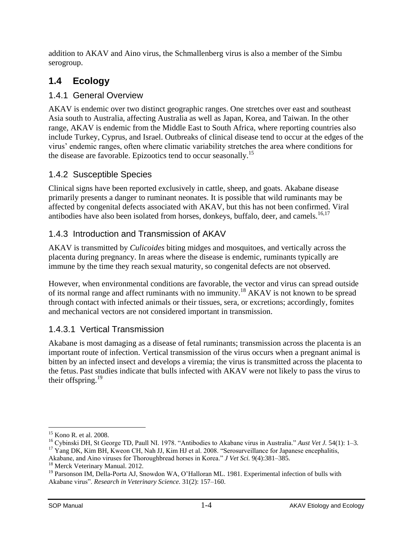addition to AKAV and Aino virus, the Schmallenberg virus is also a member of the Simbu serogroup.

# <span id="page-6-0"></span>**1.4 Ecology**

#### <span id="page-6-1"></span>1.4.1 General Overview

AKAV is endemic over two distinct geographic ranges. One stretches over east and southeast Asia south to Australia, affecting Australia as well as Japan, Korea, and Taiwan. In the other range, AKAV is endemic from the Middle East to South Africa, where reporting countries also include Turkey, Cyprus, and Israel. Outbreaks of clinical disease tend to occur at the edges of the virus' endemic ranges, often where climatic variability stretches the area where conditions for the disease are favorable. Epizootics tend to occur seasonally.<sup>15</sup>

#### <span id="page-6-2"></span>1.4.2 Susceptible Species

Clinical signs have been reported exclusively in cattle, sheep, and goats. Akabane disease primarily presents a danger to ruminant neonates. It is possible that wild ruminants may be affected by congenital defects associated with AKAV, but this has not been confirmed. Viral antibodies have also been isolated from horses, donkeys, buffalo, deer, and camels.<sup>16,17</sup>

## <span id="page-6-3"></span>1.4.3 Introduction and Transmission of AKAV

AKAV is transmitted by *Culicoides* biting midges and mosquitoes, and vertically across the placenta during pregnancy. In areas where the disease is endemic, ruminants typically are immune by the time they reach sexual maturity, so congenital defects are not observed.

However, when environmental conditions are favorable, the vector and virus can spread outside of its normal range and affect ruminants with no immunity.<sup>18</sup> AKAV is not known to be spread through contact with infected animals or their tissues, sera, or excretions; accordingly, fomites and mechanical vectors are not considered important in transmission.

## <span id="page-6-4"></span>1.4.3.1 Vertical Transmission

Akabane is most damaging as a disease of fetal ruminants; transmission across the placenta is an important route of infection. Vertical transmission of the virus occurs when a pregnant animal is bitten by an infected insect and develops a viremia; the virus is transmitted across the placenta to the fetus. Past studies indicate that bulls infected with AKAV were not likely to pass the virus to their offspring. $^{19}$ 

 $\overline{a}$ <sup>15</sup> Kono R. et al. 2008.

<sup>16</sup> Cybinski DH, St George TD, Paull NI. 1978. "Antibodies to Akabane virus in Australia." *Aust Vet J.* 54(1): 1–3.  $17$  Yang DK, Kim BH, Kweon CH, Nah JJ, Kim HJ et al. 2008. "Serosurveillance for Japanese encephalitis,

Akabane, and Aino viruses for Thoroughbread horses in Korea." *J Vet Sci.* 9(4):381–385.

<sup>&</sup>lt;sup>18</sup> Merck Veterinary Manual. 2012.

<sup>&</sup>lt;sup>19</sup> Parsonson IM, Della-Porta AJ, Snowdon WA, O'Halloran ML. 1981. Experimental infection of bulls with Akabane virus". *Research in Veterinary Science.* 31(2): 157–160.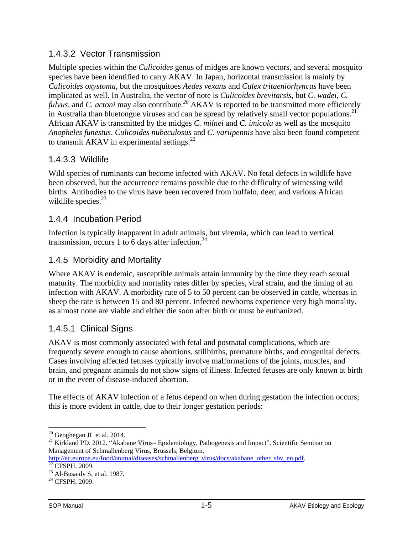#### <span id="page-7-0"></span>1.4.3.2 Vector Transmission

Multiple species within the *Culicoides* genus of midges are known vectors, and several mosquito species have been identified to carry AKAV. In Japan, horizontal transmission is mainly by *Culicoides oxystoma*, but the mosquitoes *Aedes vexans* and *Culex tritaeniorhyncus* have been implicated as well. In Australia, the vector of note is *Culicoides brevitarsis*, but *C. wadei*, *C. fulvus,* and *C. actoni* may also contribute*. <sup>20</sup>* AKAV is reported to be transmitted more efficiently in Australia than bluetongue viruses and can be spread by relatively small vector populations.<sup>21</sup> African AKAV is transmitted by the midges *C. milnei* and *C. imicola* as well as the mosquito *Anopheles funestus*. *Culicoides nubeculosus* and *C. variipennis* have also been found competent to transmit AKAV in experimental settings. $^{22}$ 

#### <span id="page-7-1"></span>1.4.3.3 Wildlife

Wild species of ruminants can become infected with AKAV. No fetal defects in wildlife have been observed, but the occurrence remains possible due to the difficulty of witnessing wild births. Antibodies to the virus have been recovered from buffalo, deer, and various African wildlife species.<sup>23</sup>

#### <span id="page-7-2"></span>1.4.4 Incubation Period

Infection is typically inapparent in adult animals, but viremia, which can lead to vertical transmission, occurs 1 to 6 days after infection.<sup>24</sup>

#### <span id="page-7-3"></span>1.4.5 Morbidity and Mortality

Where AKAV is endemic, susceptible animals attain immunity by the time they reach sexual maturity. The morbidity and mortality rates differ by species, viral strain, and the timing of an infection with AKAV. A morbidity rate of 5 to 50 percent can be observed in cattle, whereas in sheep the rate is between 15 and 80 percent. Infected newborns experience very high mortality, as almost none are viable and either die soon after birth or must be euthanized.

## <span id="page-7-4"></span>1.4.5.1 Clinical Signs

AKAV is most commonly associated with fetal and postnatal complications, which are frequently severe enough to cause abortions, stillbirths, premature births, and congenital defects. Cases involving affected fetuses typically involve malformations of the joints, muscles, and brain, and pregnant animals do not show signs of illness. Infected fetuses are only known at birth or in the event of disease-induced abortion.

The effects of AKAV infection of a fetus depend on when during gestation the infection occurs; this is more evident in cattle, due to their longer gestation periods:

 $\overline{a}$  $20$  Geoghegan JL et al. 2014.

<sup>&</sup>lt;sup>21</sup> Kirkland PD. 2012. "Akabane Virus– Epidemiology, Pathogenesis and Impact". Scientific Seminar on Management of Schmallenberg Virus, Brussels, Belgium.

http://ec.europa.eu/food/animal/diseases/schmallenberg\_virus/docs/akabane\_other\_sbv\_en.pdf.  $22$  CFSPH, 2009.

<sup>&</sup>lt;sup>23</sup> Al-Busaidy S, et al. 1987.

<sup>&</sup>lt;sup>24</sup> CFSPH, 2009.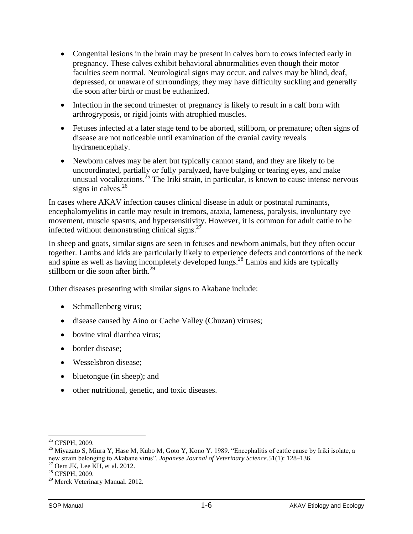- Congenital lesions in the brain may be present in calves born to cows infected early in pregnancy. These calves exhibit behavioral abnormalities even though their motor faculties seem normal. Neurological signs may occur, and calves may be blind, deaf, depressed, or unaware of surroundings; they may have difficulty suckling and generally die soon after birth or must be euthanized.
- Infection in the second trimester of pregnancy is likely to result in a calf born with arthrogryposis, or rigid joints with atrophied muscles.
- Fetuses infected at a later stage tend to be aborted, stillborn, or premature; often signs of disease are not noticeable until examination of the cranial cavity reveals hydranencephaly.
- Newborn calves may be alert but typically cannot stand, and they are likely to be uncoordinated, partially or fully paralyzed, have bulging or tearing eyes, and make unusual vocalizations.<sup>25</sup> The Iriki strain, in particular, is known to cause intense nervous signs in calves. $^{26}$

In cases where AKAV infection causes clinical disease in adult or postnatal ruminants, encephalomyelitis in cattle may result in tremors, ataxia, lameness, paralysis, involuntary eye movement, muscle spasms, and hypersensitivity. However, it is common for adult cattle to be infected without demonstrating clinical signs. $27$ 

In sheep and goats, similar signs are seen in fetuses and newborn animals, but they often occur together. Lambs and kids are particularly likely to experience defects and contortions of the neck and spine as well as having incompletely developed lungs. <sup>28</sup> Lambs and kids are typically stillborn or die soon after birth.<sup>29</sup>

Other diseases presenting with similar signs to Akabane include:

- Schmallenberg virus;
- disease caused by Aino or Cache Valley (Chuzan) viruses;
- bovine viral diarrhea virus:
- border disease:
- Wesselsbron disease;
- bluetongue (in sheep); and
- other nutritional, genetic, and toxic diseases.

 $\overline{a}$ 

<sup>&</sup>lt;sup>25</sup> CFSPH, 2009.

<sup>&</sup>lt;sup>26</sup> Miyazato S, Miura Y, Hase M, Kubo M, Goto Y, Kono Y. 1989. "Encephalitis of cattle cause by Iriki isolate, a new strain belonging to Akabane virus". *Japanese Journal of Veterinary Science.*51(1): 128–136.

 $27$  Oem JK, Lee KH, et al. 2012.

<sup>28</sup> CFSPH, 2009.

<sup>&</sup>lt;sup>29</sup> Merck Veterinary Manual. 2012.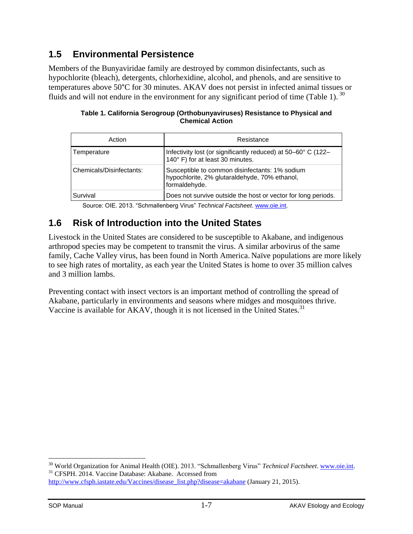# <span id="page-9-0"></span>**1.5 Environmental Persistence**

Members of the Bunyaviridae family are destroyed by common disinfectants, such as hypochlorite (bleach), detergents, chlorhexidine, alcohol, and phenols, and are sensitive to temperatures above 50°C for 30 minutes. AKAV does not persist in infected animal tissues or fluids and will not endure in the environment for any significant period of time (Table 1).  $^{30}$ 

| Action                   | Resistance                                                                                                       |
|--------------------------|------------------------------------------------------------------------------------------------------------------|
| Temperature              | Infectivity lost (or significantly reduced) at 50–60° C (122–<br>140° F) for at least 30 minutes.                |
| Chemicals/Disinfectants: | Susceptible to common disinfectants: 1% sodium<br>hypochlorite, 2% glutaraldehyde, 70% ethanol,<br>formaldehyde. |
| Survival                 | Does not survive outside the host or vector for long periods.                                                    |

**Table 1. California Serogroup (Orthobunyaviruses) Resistance to Physical and Chemical Action**

Source: OIE. 2013. "Schmallenberg Virus" *Technical Factsheet*. [www.oie.int.](http://www.oie.int/)

# <span id="page-9-1"></span>**1.6 Risk of Introduction into the United States**

Livestock in the United States are considered to be susceptible to Akabane, and indigenous arthropod species may be competent to transmit the virus. A similar arbovirus of the same family, Cache Valley virus, has been found in North America. Naïve populations are more likely to see high rates of mortality, as each year the United States is home to over 35 million calves and 3 million lambs.

Preventing contact with insect vectors is an important method of controlling the spread of Akabane, particularly in environments and seasons where midges and mosquitoes thrive. Vaccine is available for AKAV, though it is not licensed in the United States.<sup>31</sup>

 $\overline{a}$ 

<sup>30</sup> World Organization for Animal Health (OIE). 2013. "Schmallenberg Virus" *Technical Factsheet*. [www.oie.int.](http://www.oie.int/) <sup>31</sup> CFSPH. 2014. Vaccine Database: Akabane. Accessed from [http://www.cfsph.iastate.edu/Vaccines/disease\\_list.php?disease=akabane](http://www.cfsph.iastate.edu/Vaccines/disease_list.php?disease=akabane) (January 21, 2015).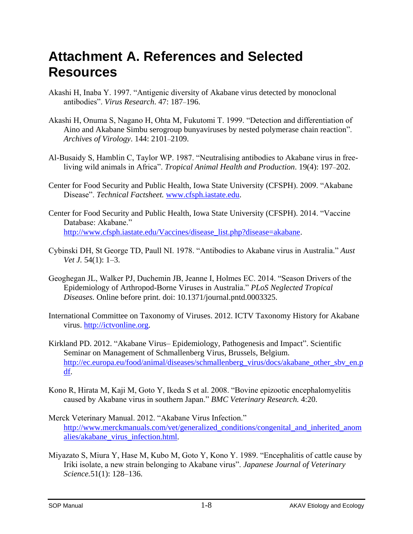# <span id="page-10-0"></span>**Attachment A. References and Selected Resources**

- Akashi H, Inaba Y. 1997. "Antigenic diversity of Akabane virus detected by monoclonal antibodies". *Virus Research*. 47: 187–196.
- Akashi H, Onuma S, Nagano H, Ohta M, Fukutomi T. 1999. "Detection and differentiation of Aino and Akabane Simbu serogroup bunyaviruses by nested polymerase chain reaction". *Archives of Virology*. 144: 2101–2109.
- Al-Busaidy S, Hamblin C, Taylor WP. 1987. "Neutralising antibodies to Akabane virus in freeliving wild animals in Africa". *Tropical Animal Health and Production*. 19(4): 197–202.
- Center for Food Security and Public Health, Iowa State University (CFSPH). 2009. "Akabane Disease". *Technical Factsheet.* [www.cfsph.iastate.edu.](http://www.cfsph.iastate.edu/)
- Center for Food Security and Public Health, Iowa State University (CFSPH). 2014. "Vaccine Database: Akabane." [http://www.cfsph.iastate.edu/Vaccines/disease\\_list.php?disease=akabane.](http://www.cfsph.iastate.edu/Vaccines/disease_list.php?disease=akabane)
- Cybinski DH, St George TD, Paull NI. 1978. "Antibodies to Akabane virus in Australia." *Aust Vet J.* 54(1): 1–3.
- Geoghegan JL, Walker PJ, Duchemin JB, Jeanne I, Holmes EC. 2014. "Season Drivers of the Epidemiology of Arthropod-Borne Viruses in Australia." *PLoS Neglected Tropical Diseases.* Online before print. doi: 10.1371/journal.pntd.0003325.
- International Committee on Taxonomy of Viruses. 2012. ICTV Taxonomy History for Akabane virus. [http://ictvonline.org.](http://ictvonline.org/)
- Kirkland PD. 2012. "Akabane Virus– Epidemiology, Pathogenesis and Impact". Scientific Seminar on Management of Schmallenberg Virus, Brussels, Belgium. [http://ec.europa.eu/food/animal/diseases/schmallenberg\\_virus/docs/akabane\\_other\\_sbv\\_en.p](http://ec.europa.eu/food/animal/diseases/schmallenberg_virus/docs/akabane_other_sbv_en.pdf) [df.](http://ec.europa.eu/food/animal/diseases/schmallenberg_virus/docs/akabane_other_sbv_en.pdf)
- Kono R, Hirata M, Kaji M, Goto Y, Ikeda S et al. 2008. "Bovine epizootic encephalomyelitis caused by Akabane virus in southern Japan." *BMC Veterinary Research.* 4:20.
- Merck Veterinary Manual. 2012. "Akabane Virus Infection." [http://www.merckmanuals.com/vet/generalized\\_conditions/congenital\\_and\\_inherited\\_anom](http://www.merckmanuals.com/vet/generalized_conditions/congenital_and_inherited_anomalies/akabane_virus_infection.html) [alies/akabane\\_virus\\_infection.html.](http://www.merckmanuals.com/vet/generalized_conditions/congenital_and_inherited_anomalies/akabane_virus_infection.html)
- Miyazato S, Miura Y, Hase M, Kubo M, Goto Y, Kono Y. 1989. "Encephalitis of cattle cause by Iriki isolate, a new strain belonging to Akabane virus". *Japanese Journal of Veterinary Science.*51(1): 128–136.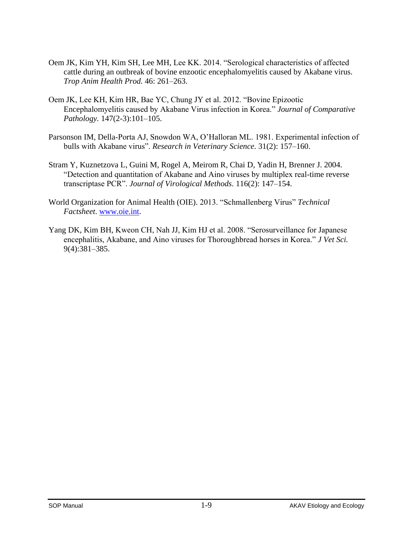- Oem JK, Kim YH, Kim SH, Lee MH, Lee KK. 2014. "Serological characteristics of affected cattle during an outbreak of bovine enzootic encephalomyelitis caused by Akabane virus. *Trop Anim Health Prod.* 46: 261–263.
- Oem JK, Lee KH, Kim HR, Bae YC, Chung JY et al. 2012. "Bovine Epizootic Encephalomyelitis caused by Akabane Virus infection in Korea." *Journal of Comparative Pathology.* 147(2-3):101–105.
- Parsonson IM, Della-Porta AJ, Snowdon WA, O'Halloran ML. 1981. Experimental infection of bulls with Akabane virus". *Research in Veterinary Science.* 31(2): 157–160.
- Stram Y, Kuznetzova L, Guini M, Rogel A, Meirom R, Chai D, Yadin H, Brenner J. 2004. "Detection and quantitation of Akabane and Aino viruses by multiplex real-time reverse transcriptase PCR". *Journal of Virological Methods*. 116(2): 147–154.
- World Organization for Animal Health (OIE). 2013. "Schmallenberg Virus" *Technical Factsheet*. [www.oie.int.](http://www.oie.int/)
- Yang DK, Kim BH, Kweon CH, Nah JJ, Kim HJ et al. 2008. "Serosurveillance for Japanese encephalitis, Akabane, and Aino viruses for Thoroughbread horses in Korea." *J Vet Sci.* 9(4):381–385.